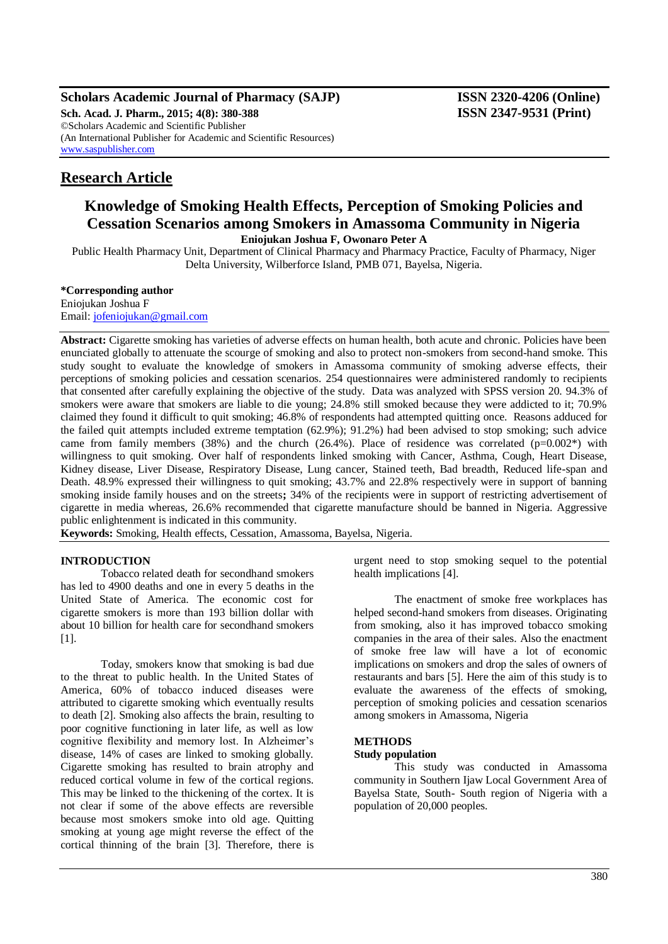**Scholars Academic Journal of Pharmacy (SAJP) ISSN 2320-4206 (Online) Sch. Acad. J. Pharm., 2015; 4(8): 380-388 ISSN 2347-9531 (Print)** ©Scholars Academic and Scientific Publisher (An International Publisher for Academic and Scientific Resources) [www.saspublisher.com](http://www.saspublisher.com/)

# **Research Article**

# **Knowledge of Smoking Health Effects, Perception of Smoking Policies and Cessation Scenarios among Smokers in Amassoma Community in Nigeria Eniojukan Joshua F, Owonaro Peter A**

Public Health Pharmacy Unit, Department of Clinical Pharmacy and Pharmacy Practice, Faculty of Pharmacy, Niger Delta University, Wilberforce Island, PMB 071, Bayelsa, Nigeria.

#### **\*Corresponding author**

Eniojukan Joshua F Email: [jofeniojukan@gmail.com](mailto:jofeniojukan@gmail.com)

**Abstract:** Cigarette smoking has varieties of adverse effects on human health, both acute and chronic. Policies have been enunciated globally to attenuate the scourge of smoking and also to protect non-smokers from second-hand smoke. This study sought to evaluate the knowledge of smokers in Amassoma community of smoking adverse effects, their perceptions of smoking policies and cessation scenarios. 254 questionnaires were administered randomly to recipients that consented after carefully explaining the objective of the study. Data was analyzed with SPSS version 20. 94.3% of smokers were aware that smokers are liable to die young; 24.8% still smoked because they were addicted to it; 70.9% claimed they found it difficult to quit smoking; 46.8% of respondents had attempted quitting once. Reasons adduced for the failed quit attempts included extreme temptation (62.9%); 91.2%) had been advised to stop smoking; such advice came from family members (38%) and the church (26.4%). Place of residence was correlated ( $p=0.002^*$ ) with willingness to quit smoking. Over half of respondents linked smoking with Cancer, Asthma, Cough, Heart Disease, Kidney disease, Liver Disease, Respiratory Disease, Lung cancer, Stained teeth, Bad breadth, Reduced life-span and Death. 48.9% expressed their willingness to quit smoking; 43.7% and 22.8% respectively were in support of banning smoking inside family houses and on the streets**;** 34% of the recipients were in support of restricting advertisement of cigarette in media whereas, 26.6% recommended that cigarette manufacture should be banned in Nigeria. Aggressive public enlightenment is indicated in this community.

**Keywords:** Smoking, Health effects, Cessation, Amassoma, Bayelsa, Nigeria.

#### **INTRODUCTION**

Tobacco related death for secondhand smokers has led to 4900 deaths and one in every 5 deaths in the United State of America. The economic cost for cigarette smokers is more than 193 billion dollar with about 10 billion for health care for secondhand smokers [1].

Today, smokers know that smoking is bad due to the threat to public health. In the United States of America, 60% of tobacco induced diseases were attributed to cigarette smoking which eventually results to death [2]. Smoking also affects the brain, resulting to poor cognitive functioning in later life, as well as low cognitive flexibility and memory lost. In Alzheimer's disease, 14% of cases are linked to smoking globally. Cigarette smoking has resulted to brain atrophy and reduced cortical volume in few of the cortical regions. This may be linked to the thickening of the cortex. It is not clear if some of the above effects are reversible because most smokers smoke into old age. Quitting smoking at young age might reverse the effect of the cortical thinning of the brain [3]. Therefore, there is

urgent need to stop smoking sequel to the potential health implications [4].

The enactment of smoke free workplaces has helped second-hand smokers from diseases. Originating from smoking, also it has improved tobacco smoking companies in the area of their sales. Also the enactment of smoke free law will have a lot of economic implications on smokers and drop the sales of owners of restaurants and bars [5]. Here the aim of this study is to evaluate the awareness of the effects of smoking, perception of smoking policies and cessation scenarios among smokers in Amassoma, Nigeria

#### **METHODS**

#### **Study population**

This study was conducted in Amassoma community in Southern Ijaw Local Government Area of Bayelsa State, South- South region of Nigeria with a population of 20,000 peoples.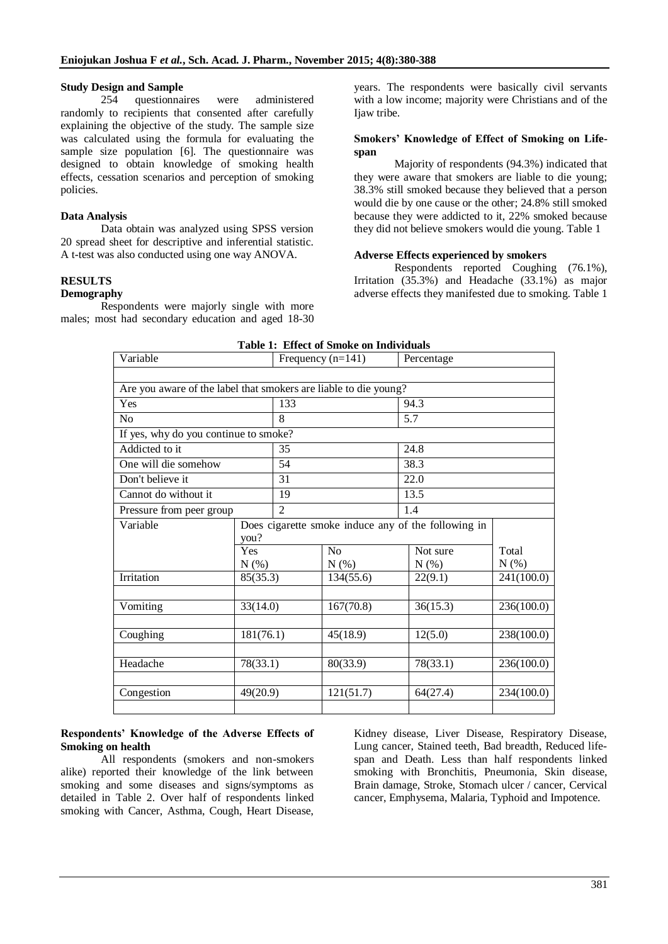## **Study Design and Sample**

254 questionnaires were administered randomly to recipients that consented after carefully explaining the objective of the study. The sample size was calculated using the formula for evaluating the sample size population [6]. The questionnaire was designed to obtain knowledge of smoking health effects, cessation scenarios and perception of smoking policies.

## **Data Analysis**

Data obtain was analyzed using SPSS version 20 spread sheet for descriptive and inferential statistic. A t-test was also conducted using one way ANOVA.

# **RESULTS**

#### **Demography**

Respondents were majorly single with more males; most had secondary education and aged 18-30 years. The respondents were basically civil servants with a low income; majority were Christians and of the Ijaw tribe.

#### **Smokers' Knowledge of Effect of Smoking on Lifespan**

Majority of respondents (94.3%) indicated that they were aware that smokers are liable to die young; 38.3% still smoked because they believed that a person would die by one cause or the other; 24.8% still smoked because they were addicted to it, 22% smoked because they did not believe smokers would die young. Table 1

## **Adverse Effects experienced by smokers**

Respondents reported Coughing (76.1%), Irritation (35.3%) and Headache (33.1%) as major adverse effects they manifested due to smoking. Table 1

| Variable                                                         |           | Frequency $(n=141)$                                 |                | Percentage |            |  |  |
|------------------------------------------------------------------|-----------|-----------------------------------------------------|----------------|------------|------------|--|--|
|                                                                  |           |                                                     |                |            |            |  |  |
| Are you aware of the label that smokers are liable to die young? |           |                                                     |                |            |            |  |  |
| Yes                                                              |           | 133                                                 |                | 94.3       |            |  |  |
| N <sub>0</sub>                                                   |           | 8                                                   |                | 5.7        |            |  |  |
| If yes, why do you continue to smoke?                            |           |                                                     |                |            |            |  |  |
| Addicted to it                                                   |           | 35                                                  |                | 24.8       |            |  |  |
| One will die somehow                                             |           | 54                                                  |                | 38.3       |            |  |  |
| Don't believe it                                                 |           | 31                                                  |                | 22.0       |            |  |  |
| Cannot do without it                                             |           | 19                                                  |                | 13.5       |            |  |  |
| Pressure from peer group                                         |           | $\overline{c}$                                      |                | 1.4        |            |  |  |
| Variable                                                         |           | Does cigarette smoke induce any of the following in |                |            |            |  |  |
|                                                                  | you?      |                                                     |                |            |            |  |  |
|                                                                  | Yes       |                                                     | N <sub>o</sub> | Not sure   | Total      |  |  |
|                                                                  | $N(\%)$   |                                                     | N(%)           | N(% )      | N(%)       |  |  |
| Irritation                                                       | 85(35.3)  |                                                     | 134(55.6)      | 22(9.1)    | 241(100.0) |  |  |
|                                                                  |           |                                                     |                |            |            |  |  |
| Vomiting                                                         | 33(14.0)  |                                                     | 167(70.8)      | 36(15.3)   | 236(100.0) |  |  |
|                                                                  |           |                                                     |                |            |            |  |  |
| Coughing                                                         | 181(76.1) |                                                     | 45(18.9)       | 12(5.0)    | 238(100.0) |  |  |
|                                                                  |           |                                                     |                |            |            |  |  |
| Headache                                                         | 78(33.1)  |                                                     | 80(33.9)       | 78(33.1)   | 236(100.0) |  |  |
|                                                                  |           |                                                     |                |            |            |  |  |
| Congestion                                                       | 49(20.9)  |                                                     | 121(51.7)      | 64(27.4)   | 234(100.0) |  |  |
|                                                                  |           |                                                     |                |            |            |  |  |

| <b>Table 1: Effect of Smoke on Individuals</b> |  |
|------------------------------------------------|--|
|------------------------------------------------|--|

## **Respondents' Knowledge of the Adverse Effects of Smoking on health**

All respondents (smokers and non-smokers alike) reported their knowledge of the link between smoking and some diseases and signs/symptoms as detailed in Table 2. Over half of respondents linked smoking with Cancer, Asthma, Cough, Heart Disease,

Kidney disease, Liver Disease, Respiratory Disease, Lung cancer, Stained teeth, Bad breadth, Reduced lifespan and Death. Less than half respondents linked smoking with Bronchitis, Pneumonia, Skin disease, Brain damage, Stroke, Stomach ulcer / cancer, Cervical cancer, Emphysema, Malaria, Typhoid and Impotence.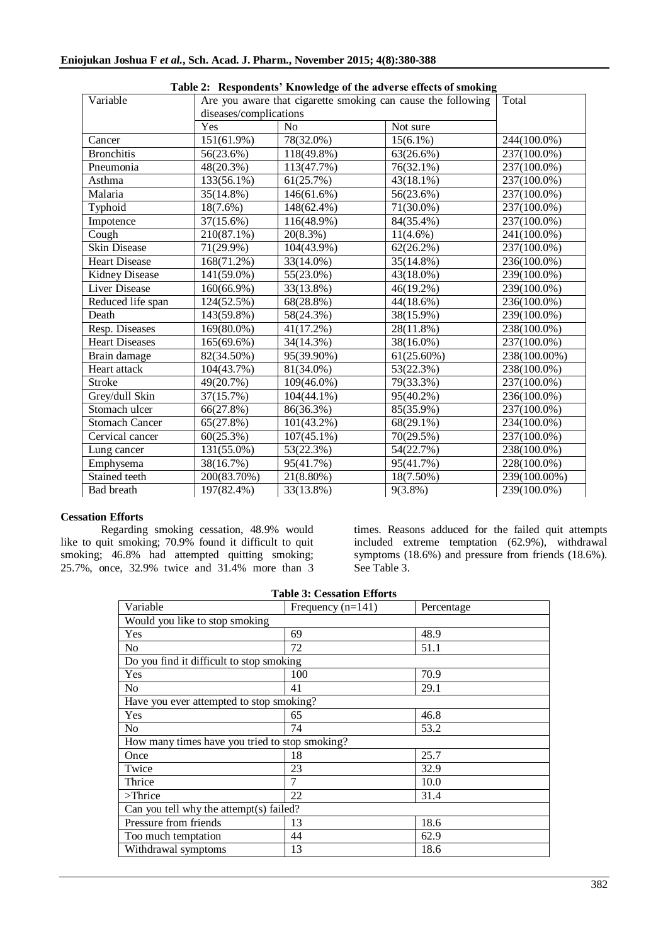| Variable              | rabic 2. Respondents Tenomedge of the adverse effects of smoking<br>Are you aware that cigarette smoking can cause the following | Total          |               |              |
|-----------------------|----------------------------------------------------------------------------------------------------------------------------------|----------------|---------------|--------------|
|                       | diseases/complications                                                                                                           |                |               |              |
|                       | Yes                                                                                                                              | N <sub>o</sub> | Not sure      |              |
| Cancer                | 151(61.9%)                                                                                                                       | 78(32.0%)      | $15(6.1\%)$   | 244(100.0%)  |
| <b>Bronchitis</b>     | 56(23.6%)                                                                                                                        | 118(49.8%)     | 63(26.6%)     | 237(100.0%)  |
| Pneumonia             | 48(20.3%)                                                                                                                        | 113(47.7%)     | 76(32.1%)     | 237(100.0%)  |
| Asthma                | 133(56.1%)                                                                                                                       | 61(25.7%)      | $43(18.1\%)$  | 237(100.0%)  |
| Malaria               | $35(14.8\%)$                                                                                                                     | 146(61.6%)     | 56(23.6%)     | 237(100.0%)  |
| Typhoid               | $18(7.6\%)$                                                                                                                      | 148(62.4%)     | 71(30.0%)     | 237(100.0%)  |
| Impotence             | 37(15.6%)                                                                                                                        | 116(48.9%)     | 84(35.4%)     | 237(100.0%)  |
| Cough                 | 210(87.1%)                                                                                                                       | $20(8.3\%)$    | $11(4.6\%)$   | 241(100.0%)  |
| Skin Disease          | 71(29.9%)                                                                                                                        | 104(43.9%)     | 62(26.2%)     | 237(100.0%)  |
| <b>Heart Disease</b>  | 168(71.2%)                                                                                                                       | 33(14.0%)      | 35(14.8%)     | 236(100.0%)  |
| <b>Kidney Disease</b> | 141(59.0%)                                                                                                                       | 55(23.0%)      | 43(18.0%)     | 239(100.0%)  |
| Liver Disease         | 160(66.9%)                                                                                                                       | 33(13.8%)      | 46(19.2%)     | 239(100.0%)  |
| Reduced life span     | 124(52.5%)                                                                                                                       | 68(28.8%)      | 44(18.6%)     | 236(100.0%)  |
| Death                 | 143(59.8%)                                                                                                                       | 58(24.3%)      | 38(15.9%)     | 239(100.0%)  |
| Resp. Diseases        | 169(80.0%)                                                                                                                       | 41(17.2%)      | 28(11.8%)     | 238(100.0%)  |
| <b>Heart Diseases</b> | $165(69.6\%)$                                                                                                                    | 34(14.3%)      | 38(16.0%)     | 237(100.0%)  |
| Brain damage          | 82(34.50%)                                                                                                                       | 95(39.90%)     | $61(25.60\%)$ | 238(100.00%) |
| Heart attack          | 104(43.7%)                                                                                                                       | 81(34.0%)      | 53(22.3%)     | 238(100.0%)  |
| <b>Stroke</b>         | 49(20.7%)                                                                                                                        | $109(46.0\%)$  | 79(33.3%)     | 237(100.0%)  |
| Grey/dull Skin        | 37(15.7%)                                                                                                                        | $104(44.1\%)$  | 95(40.2%)     | 236(100.0%)  |
| Stomach ulcer         | 66(27.8%)                                                                                                                        | 86(36.3%)      | 85(35.9%)     | 237(100.0%)  |
| <b>Stomach Cancer</b> | 65(27.8%)                                                                                                                        | $101(43.2\%)$  | $68(29.1\%)$  | 234(100.0%)  |
| Cervical cancer       | 60(25.3%)                                                                                                                        | $107(45.1\%)$  | 70(29.5%)     | 237(100.0%)  |
| Lung cancer           | 131(55.0%)                                                                                                                       | 53(22.3%)      | 54(22.7%)     | 238(100.0%)  |
| Emphysema             | 38(16.7%)                                                                                                                        | 95(41.7%)      | 95(41.7%)     | 228(100.0%)  |
| Stained teeth         | 200(83.70%)                                                                                                                      | 21(8.80%)      | $18(7.50\%)$  | 239(100.00%) |
| Bad breath            | 197(82.4%)                                                                                                                       | 33(13.8%)      | $9(3.8\%)$    | 239(100.0%)  |

## **Cessation Efforts**

Regarding smoking cessation, 48.9% would like to quit smoking; 70.9% found it difficult to quit smoking; 46.8% had attempted quitting smoking; 25.7%, once, 32.9% twice and 31.4% more than 3

times. Reasons adduced for the failed quit attempts included extreme temptation (62.9%), withdrawal symptoms (18.6%) and pressure from friends (18.6%). See Table 3.

| Table 3: Cessation Efforts                     |                     |            |  |  |  |
|------------------------------------------------|---------------------|------------|--|--|--|
| Variable                                       | Frequency $(n=141)$ | Percentage |  |  |  |
| Would you like to stop smoking                 |                     |            |  |  |  |
| Yes                                            | 69                  | 48.9       |  |  |  |
| N <sub>0</sub>                                 | 72                  | 51.1       |  |  |  |
| Do you find it difficult to stop smoking       |                     |            |  |  |  |
| Yes                                            | 100                 | 70.9       |  |  |  |
| N <sub>0</sub>                                 | 41                  | 29.1       |  |  |  |
| Have you ever attempted to stop smoking?       |                     |            |  |  |  |
| Yes                                            | 65                  | 46.8       |  |  |  |
| N <sub>0</sub>                                 | 74                  | 53.2       |  |  |  |
| How many times have you tried to stop smoking? |                     |            |  |  |  |
| Once                                           | 18                  | 25.7       |  |  |  |
| Twice                                          | 23                  | 32.9       |  |  |  |
| Thrice                                         | 7                   | 10.0       |  |  |  |
| $\sum$ Thrice                                  | 22                  | 31.4       |  |  |  |
| Can you tell why the attempt(s) failed?        |                     |            |  |  |  |
| Pressure from friends                          | 13                  | 18.6       |  |  |  |
| Too much temptation                            | 44                  | 62.9       |  |  |  |
| Withdrawal symptoms                            | 13                  | 18.6       |  |  |  |
|                                                |                     |            |  |  |  |

|  | <b>Table 3: Cessation Efforts</b> |  |
|--|-----------------------------------|--|
|--|-----------------------------------|--|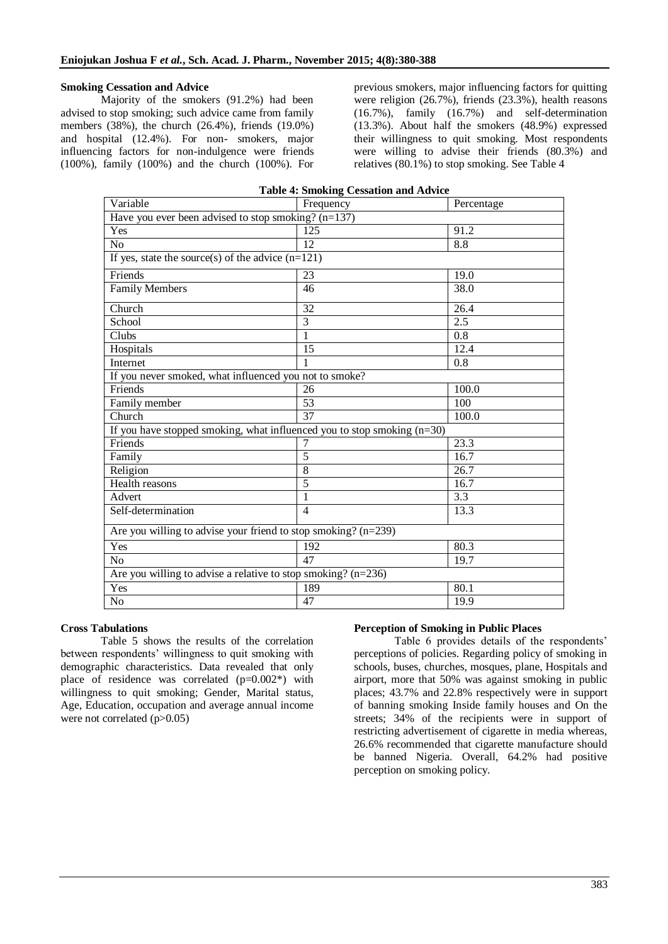## **Smoking Cessation and Advice**

Majority of the smokers (91.2%) had been advised to stop smoking; such advice came from family members (38%), the church (26.4%), friends (19.0%) and hospital (12.4%). For non- smokers, major influencing factors for non-indulgence were friends (100%), family (100%) and the church (100%). For

previous smokers, major influencing factors for quitting were religion (26.7%), friends (23.3%), health reasons (16.7%), family (16.7%) and self-determination (13.3%). About half the smokers (48.9%) expressed their willingness to quit smoking. Most respondents were willing to advise their friends (80.3%) and relatives (80.1%) to stop smoking. See Table 4

| <b>Table 4: Smoking Cessation and Advice</b>                              |                |            |  |  |  |
|---------------------------------------------------------------------------|----------------|------------|--|--|--|
| Variable                                                                  | Frequency      | Percentage |  |  |  |
| Have you ever been advised to stop smoking? $(n=137)$                     |                |            |  |  |  |
| Yes                                                                       | 125            | 91.2       |  |  |  |
| No                                                                        | 12             | 8.8        |  |  |  |
| If yes, state the source(s) of the advice $(n=121)$                       |                |            |  |  |  |
| Friends                                                                   | 23             | 19.0       |  |  |  |
| <b>Family Members</b>                                                     | 46             | 38.0       |  |  |  |
| Church                                                                    | 32             | 26.4       |  |  |  |
| School                                                                    | 3              | 2.5        |  |  |  |
| Clubs                                                                     | 1              | 0.8        |  |  |  |
| Hospitals                                                                 | 15             | 12.4       |  |  |  |
| Internet                                                                  | 1              | 0.8        |  |  |  |
| If you never smoked, what influenced you not to smoke?                    |                |            |  |  |  |
| Friends                                                                   | 26             | 100.0      |  |  |  |
| Family member                                                             | 53             | 100        |  |  |  |
| Church                                                                    | 37             | 100.0      |  |  |  |
| If you have stopped smoking, what influenced you to stop smoking $(n=30)$ |                |            |  |  |  |
| Friends                                                                   | 7              | 23.3       |  |  |  |
| Family                                                                    | 5              | 16.7       |  |  |  |
| Religion                                                                  | $8\,$          | 26.7       |  |  |  |
| Health reasons                                                            | 5              | 16.7       |  |  |  |
| Advert                                                                    | $\mathbf{1}$   | 3.3        |  |  |  |
| Self-determination                                                        | $\overline{4}$ | 13.3       |  |  |  |
| Are you willing to advise your friend to stop smoking? $(n=239)$          |                |            |  |  |  |
| Yes                                                                       | 192            | 80.3       |  |  |  |
| No                                                                        | 47             | 19.7       |  |  |  |
| Are you willing to advise a relative to stop smoking? $(n=236)$           |                |            |  |  |  |
| Yes                                                                       | 189            | 80.1       |  |  |  |
| N <sub>o</sub>                                                            | 47             | 19.9       |  |  |  |

#### **Cross Tabulations**

Table 5 shows the results of the correlation between respondents' willingness to quit smoking with demographic characteristics. Data revealed that only place of residence was correlated  $(p=0.002^*)$  with willingness to quit smoking; Gender, Marital status, Age, Education, occupation and average annual income were not correlated (p>0.05)

## **Perception of Smoking in Public Places**

Table 6 provides details of the respondents' perceptions of policies. Regarding policy of smoking in schools, buses, churches, mosques, plane, Hospitals and airport, more that 50% was against smoking in public places; 43.7% and 22.8% respectively were in support of banning smoking Inside family houses and On the streets; 34% of the recipients were in support of restricting advertisement of cigarette in media whereas, 26.6% recommended that cigarette manufacture should be banned Nigeria. Overall, 64.2% had positive perception on smoking policy.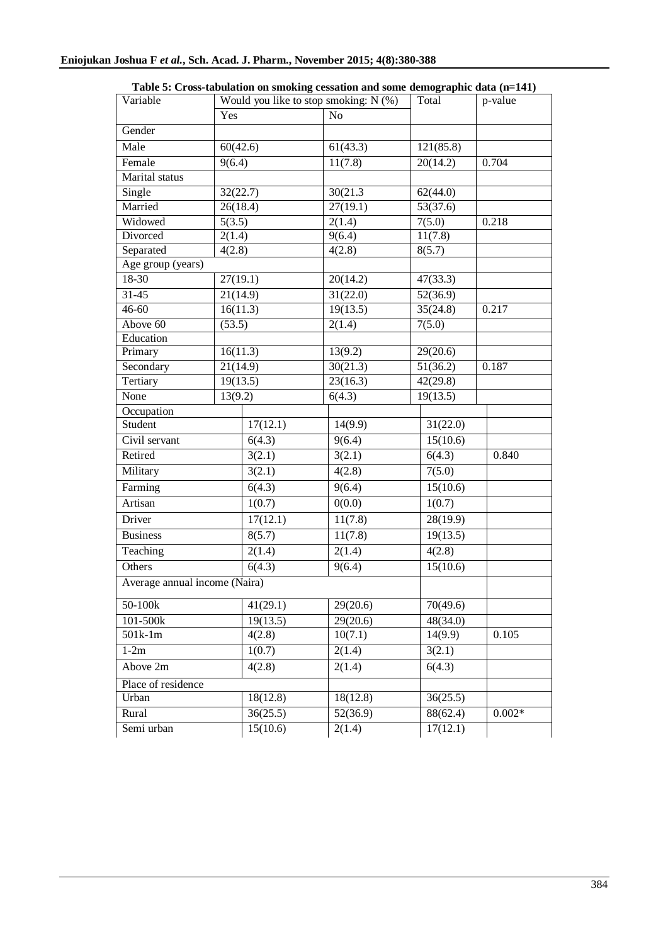| Variable                      | Would you like to stop smoking: $N$ (%) |                | Total     | p-value  |  |
|-------------------------------|-----------------------------------------|----------------|-----------|----------|--|
|                               | Yes                                     | N <sub>o</sub> |           |          |  |
| Gender                        |                                         |                |           |          |  |
| Male                          | 60(42.6)                                | 61(43.3)       | 121(85.8) |          |  |
| Female                        | 9(6.4)                                  | 11(7.8)        | 20(14.2)  | 0.704    |  |
| Marital status                |                                         |                |           |          |  |
| Single                        | 32(22.7)                                | 30(21.3)       | 62(44.0)  |          |  |
| Married                       | 26(18.4)                                | 27(19.1)       | 53(37.6)  |          |  |
| Widowed                       | 5(3.5)                                  | 2(1.4)         | 7(5.0)    | 0.218    |  |
| Divorced                      | 2(1.4)                                  | 9(6.4)         | 11(7.8)   |          |  |
| Separated                     | 4(2.8)                                  | 4(2.8)         | 8(5.7)    |          |  |
| Age group (years)             |                                         |                |           |          |  |
| 18-30                         | 27(19.1)                                | 20(14.2)       | 47(33.3)  |          |  |
| $31 - 45$                     | 21(14.9)                                | 31(22.0)       | 52(36.9)  |          |  |
| $46 - 60$                     | 16(11.3)                                | 19(13.5)       | 35(24.8)  | 0.217    |  |
| Above 60                      | (53.5)                                  | 2(1.4)         | 7(5.0)    |          |  |
| Education                     |                                         |                |           |          |  |
| Primary                       | 16(11.3)                                | 13(9.2)        | 29(20.6)  |          |  |
| Secondary                     | 21(14.9)                                | 30(21.3)       | 51(36.2)  | 0.187    |  |
| Tertiary                      | 19(13.5)                                | 23(16.3)       | 42(29.8)  |          |  |
| None                          | 13(9.2)                                 | 6(4.3)         | 19(13.5)  |          |  |
| Occupation                    |                                         |                |           |          |  |
| Student                       | 17(12.1)                                | 14(9.9)        | 31(22.0)  |          |  |
| Civil servant                 | 6(4.3)                                  | 9(6.4)         | 15(10.6)  |          |  |
| Retired                       | 3(2.1)                                  | 3(2.1)         | 6(4.3)    | 0.840    |  |
| Military                      | 3(2.1)                                  | 4(2.8)         | 7(5.0)    |          |  |
| Farming                       | $\overline{6(4.3)}$                     | 9(6.4)         | 15(10.6)  |          |  |
| Artisan                       | 1(0.7)                                  | 0(0.0)         | 1(0.7)    |          |  |
| Driver                        | 17(12.1)                                | 11(7.8)        | 28(19.9)  |          |  |
| <b>Business</b>               | 8(5.7)                                  | 11(7.8)        | 19(13.5)  |          |  |
| Teaching                      | 2(1.4)                                  | 2(1.4)         | 4(2.8)    |          |  |
| Others                        | 6(4.3)                                  | 9(6.4)         | 15(10.6)  |          |  |
| Average annual income (Naira) |                                         |                |           |          |  |
| 50-100k                       | 41(29.1)                                | 29(20.6)       | 70(49.6)  |          |  |
| 101-500k                      | 19(13.5)                                | 29(20.6)       | 48(34.0)  |          |  |
| 501k-1m                       | 4(2.8)                                  | 10(7.1)        | 14(9.9)   | 0.105    |  |
| $1-2m$<br>1(0.7)              |                                         | 2(1.4)         | 3(2.1)    |          |  |
| Above 2m<br>4(2.8)            |                                         | 2(1.4)         | 6(4.3)    |          |  |
| Place of residence            |                                         |                |           |          |  |
| Urban                         | 18(12.8)                                | 18(12.8)       | 36(25.5)  |          |  |
| Rural                         | 36(25.5)                                | 52(36.9)       | 88(62.4)  | $0.002*$ |  |
| Semi urban                    | 15(10.6)                                | 2(1.4)         | 17(12.1)  |          |  |

# **Table 5: Cross-tabulation on smoking cessation and some demographic data (n=141)**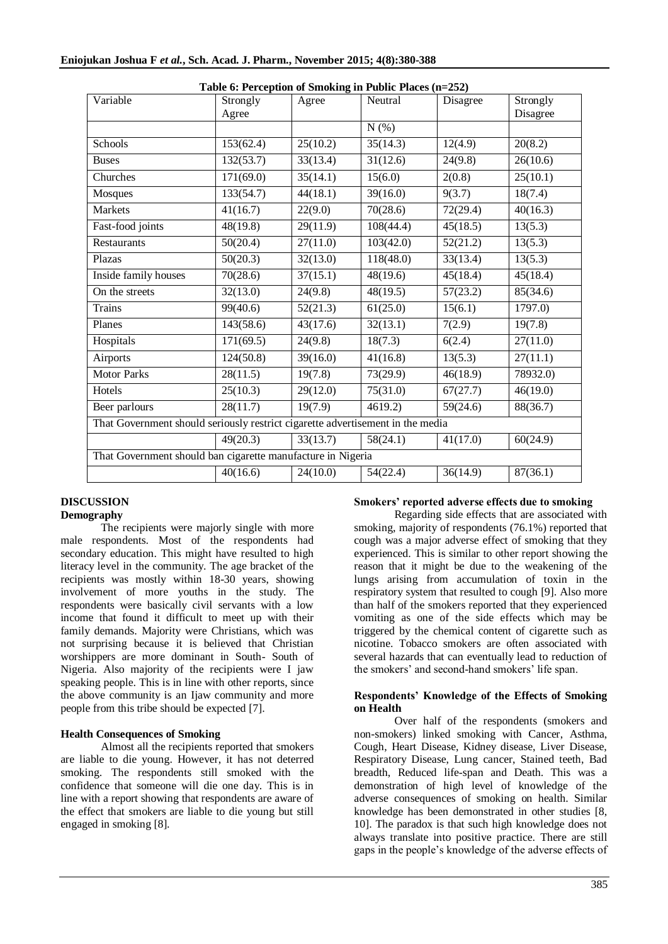| Variable                                                                       | Strongly<br>Agree | o<br>Agree | Neutral   | Disagree | Strongly<br>Disagree |
|--------------------------------------------------------------------------------|-------------------|------------|-----------|----------|----------------------|
|                                                                                |                   |            | N(%)      |          |                      |
| Schools                                                                        | 153(62.4)         | 25(10.2)   | 35(14.3)  | 12(4.9)  | 20(8.2)              |
| <b>Buses</b>                                                                   | 132(53.7)         | 33(13.4)   | 31(12.6)  | 24(9.8)  | 26(10.6)             |
| Churches                                                                       | 171(69.0)         | 35(14.1)   | 15(6.0)   | 2(0.8)   | 25(10.1)             |
| Mosques                                                                        | 133(54.7)         | 44(18.1)   | 39(16.0)  | 9(3.7)   | 18(7.4)              |
| <b>Markets</b>                                                                 | 41(16.7)          | 22(9.0)    | 70(28.6)  | 72(29.4) | 40(16.3)             |
| Fast-food joints                                                               | 48(19.8)          | 29(11.9)   | 108(44.4) | 45(18.5) | 13(5.3)              |
| Restaurants                                                                    | 50(20.4)          | 27(11.0)   | 103(42.0) | 52(21.2) | 13(5.3)              |
| Plazas                                                                         | 50(20.3)          | 32(13.0)   | 118(48.0) | 33(13.4) | 13(5.3)              |
| Inside family houses                                                           | 70(28.6)          | 37(15.1)   | 48(19.6)  | 45(18.4) | 45(18.4)             |
| On the streets                                                                 | 32(13.0)          | 24(9.8)    | 48(19.5)  | 57(23.2) | 85(34.6)             |
| <b>Trains</b>                                                                  | 99(40.6)          | 52(21.3)   | 61(25.0)  | 15(6.1)  | 1797.0               |
| Planes                                                                         | 143(58.6)         | 43(17.6)   | 32(13.1)  | 7(2.9)   | 19(7.8)              |
| Hospitals                                                                      | 171(69.5)         | 24(9.8)    | 18(7.3)   | 6(2.4)   | 27(11.0)             |
| Airports                                                                       | 124(50.8)         | 39(16.0)   | 41(16.8)  | 13(5.3)  | 27(11.1)             |
| Motor Parks                                                                    | 28(11.5)          | 19(7.8)    | 73(29.9)  | 46(18.9) | 78932.0)             |
| Hotels                                                                         | 25(10.3)          | 29(12.0)   | 75(31.0)  | 67(27.7) | 46(19.0)             |
| Beer parlours                                                                  | 28(11.7)          | 19(7.9)    | 4619.2    | 59(24.6) | 88(36.7)             |
| That Government should seriously restrict cigarette advertisement in the media |                   |            |           |          |                      |
|                                                                                | 49(20.3)          | 33(13.7)   | 58(24.1)  | 41(17.0) | 60(24.9)             |
| That Government should ban cigarette manufacture in Nigeria                    |                   |            |           |          |                      |
|                                                                                | 40(16.6)          | 24(10.0)   | 54(22.4)  | 36(14.9) | 87(36.1)             |
|                                                                                |                   |            |           |          |                      |

#### **DISCUSSION Demography**

The recipients were majorly single with more male respondents. Most of the respondents had secondary education. This might have resulted to high literacy level in the community. The age bracket of the recipients was mostly within 18-30 years, showing involvement of more youths in the study. The respondents were basically civil servants with a low income that found it difficult to meet up with their family demands. Majority were Christians, which was not surprising because it is believed that Christian worshippers are more dominant in South- South of Nigeria. Also majority of the recipients were I jaw speaking people. This is in line with other reports, since the above community is an Ijaw community and more people from this tribe should be expected [7].

# **Health Consequences of Smoking**

Almost all the recipients reported that smokers are liable to die young. However, it has not deterred smoking. The respondents still smoked with the confidence that someone will die one day. This is in line with a report showing that respondents are aware of the effect that smokers are liable to die young but still engaged in smoking [8].

## **Smokers' reported adverse effects due to smoking**

Regarding side effects that are associated with smoking, majority of respondents (76.1%) reported that cough was a major adverse effect of smoking that they experienced. This is similar to other report showing the reason that it might be due to the weakening of the lungs arising from accumulation of toxin in the respiratory system that resulted to cough [9]. Also more than half of the smokers reported that they experienced vomiting as one of the side effects which may be triggered by the chemical content of cigarette such as nicotine. Tobacco smokers are often associated with several hazards that can eventually lead to reduction of the smokers' and second-hand smokers' life span.

#### **Respondents' Knowledge of the Effects of Smoking on Health**

Over half of the respondents (smokers and non-smokers) linked smoking with Cancer, Asthma, Cough, Heart Disease, Kidney disease, Liver Disease, Respiratory Disease, Lung cancer, Stained teeth, Bad breadth, Reduced life-span and Death. This was a demonstration of high level of knowledge of the adverse consequences of smoking on health. Similar knowledge has been demonstrated in other studies [8, 10]. The paradox is that such high knowledge does not always translate into positive practice. There are still gaps in the people's knowledge of the adverse effects of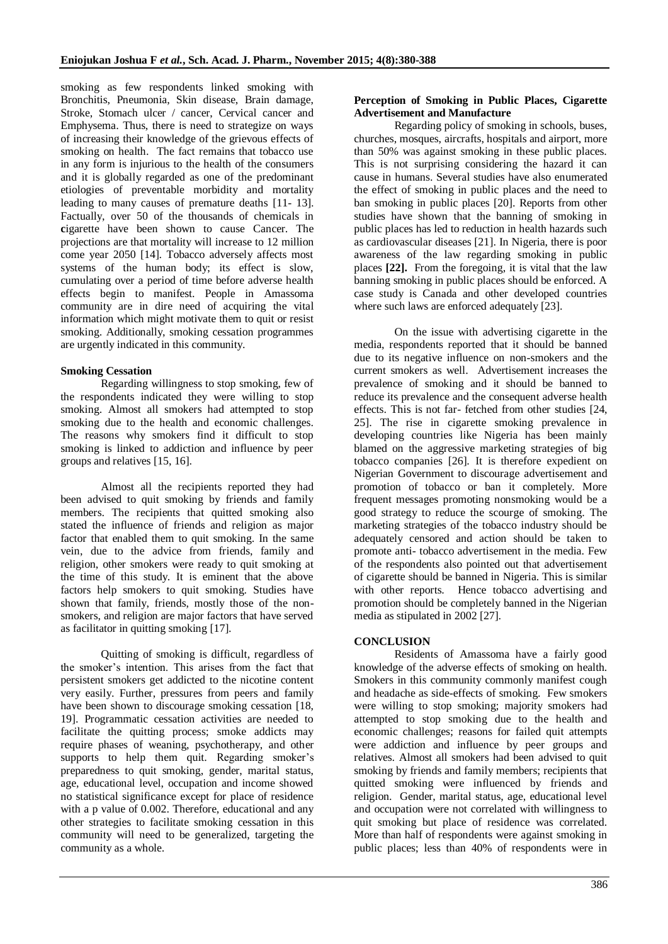smoking as few respondents linked smoking with Bronchitis, Pneumonia, Skin disease, Brain damage, Stroke, Stomach ulcer / cancer, Cervical cancer and Emphysema. Thus, there is need to strategize on ways of increasing their knowledge of the grievous effects of smoking on health. The fact remains that tobacco use in any form is injurious to the health of the consumers and it is globally regarded as one of the predominant etiologies of preventable morbidity and mortality leading to many causes of premature deaths [11- 13]. Factually, over 50 of the thousands of chemicals in **c**igarette have been shown to cause Cancer. The projections are that mortality will increase to 12 million come year 2050 [14]. Tobacco adversely affects most systems of the human body; its effect is slow, cumulating over a period of time before adverse health effects begin to manifest. People in Amassoma community are in dire need of acquiring the vital information which might motivate them to quit or resist smoking. Additionally, smoking cessation programmes are urgently indicated in this community.

## **Smoking Cessation**

Regarding willingness to stop smoking, few of the respondents indicated they were willing to stop smoking. Almost all smokers had attempted to stop smoking due to the health and economic challenges. The reasons why smokers find it difficult to stop smoking is linked to addiction and influence by peer groups and relatives [15, 16].

Almost all the recipients reported they had been advised to quit smoking by friends and family members. The recipients that quitted smoking also stated the influence of friends and religion as major factor that enabled them to quit smoking. In the same vein, due to the advice from friends, family and religion, other smokers were ready to quit smoking at the time of this study. It is eminent that the above factors help smokers to quit smoking. Studies have shown that family, friends, mostly those of the nonsmokers, and religion are major factors that have served as facilitator in quitting smoking [17].

Quitting of smoking is difficult, regardless of the smoker's intention. This arises from the fact that persistent smokers get addicted to the nicotine content very easily. Further, pressures from peers and family have been shown to discourage smoking cessation [18, 19]. Programmatic cessation activities are needed to facilitate the quitting process; smoke addicts may require phases of weaning, psychotherapy, and other supports to help them quit. Regarding smoker's preparedness to quit smoking, gender, marital status, age, educational level, occupation and income showed no statistical significance except for place of residence with a p value of 0.002. Therefore, educational and any other strategies to facilitate smoking cessation in this community will need to be generalized, targeting the community as a whole.

## **Perception of Smoking in Public Places, Cigarette Advertisement and Manufacture**

Regarding policy of smoking in schools, buses, churches, mosques, aircrafts, hospitals and airport, more than 50% was against smoking in these public places. This is not surprising considering the hazard it can cause in humans. Several studies have also enumerated the effect of smoking in public places and the need to ban smoking in public places [20]. Reports from other studies have shown that the banning of smoking in public places has led to reduction in health hazards such as cardiovascular diseases [21]. In Nigeria, there is poor awareness of the law regarding smoking in public places **[22].** From the foregoing, it is vital that the law banning smoking in public places should be enforced. A case study is Canada and other developed countries where such laws are enforced adequately [23].

On the issue with advertising cigarette in the media, respondents reported that it should be banned due to its negative influence on non-smokers and the current smokers as well. Advertisement increases the prevalence of smoking and it should be banned to reduce its prevalence and the consequent adverse health effects. This is not far- fetched from other studies [24, 25]. The rise in cigarette smoking prevalence in developing countries like Nigeria has been mainly blamed on the aggressive marketing strategies of big tobacco companies [26]. It is therefore expedient on Nigerian Government to discourage advertisement and promotion of tobacco or ban it completely. More frequent messages promoting nonsmoking would be a good strategy to reduce the scourge of smoking. The marketing strategies of the tobacco industry should be adequately censored and action should be taken to promote anti- tobacco advertisement in the media. Few of the respondents also pointed out that advertisement of cigarette should be banned in Nigeria. This is similar with other reports. Hence tobacco advertising and promotion should be completely banned in the Nigerian media as stipulated in 2002 [27].

## **CONCLUSION**

Residents of Amassoma have a fairly good knowledge of the adverse effects of smoking on health. Smokers in this community commonly manifest cough and headache as side-effects of smoking. Few smokers were willing to stop smoking; majority smokers had attempted to stop smoking due to the health and economic challenges; reasons for failed quit attempts were addiction and influence by peer groups and relatives. Almost all smokers had been advised to quit smoking by friends and family members; recipients that quitted smoking were influenced by friends and religion. Gender, marital status, age, educational level and occupation were not correlated with willingness to quit smoking but place of residence was correlated. More than half of respondents were against smoking in public places; less than 40% of respondents were in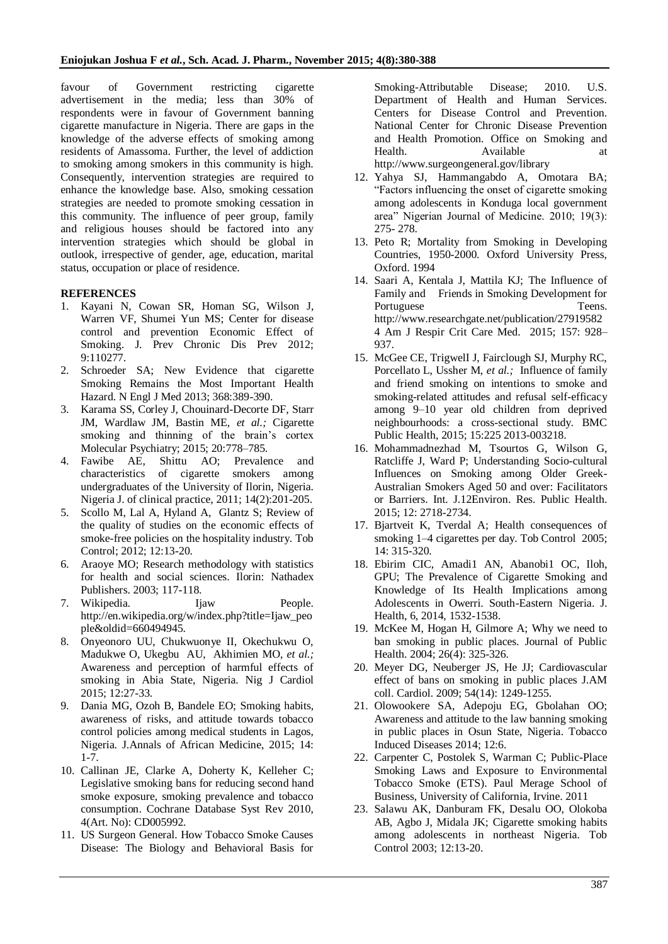favour of Government restricting cigarette advertisement in the media; less than 30% of respondents were in favour of Government banning cigarette manufacture in Nigeria. There are gaps in the knowledge of the adverse effects of smoking among residents of Amassoma. Further, the level of addiction to smoking among smokers in this community is high. Consequently, intervention strategies are required to enhance the knowledge base. Also, smoking cessation strategies are needed to promote smoking cessation in this community. The influence of peer group, family and religious houses should be factored into any intervention strategies which should be global in outlook, irrespective of gender, age, education, marital status, occupation or place of residence.

## **REFERENCES**

- 1. Kayani N, Cowan SR, Homan SG, Wilson J, Warren VF, Shumei Yun MS; Center for disease control and prevention Economic Effect of Smoking. J. Prev Chronic Dis Prev 2012; 9:110277.
- 2. Schroeder SA; New Evidence that cigarette Smoking Remains the Most Important Health Hazard. N Engl J Med 2013; 368:389-390.
- 3. Karama SS, Corley J, Chouinard-Decorte DF, Starr JM, Wardlaw JM, Bastin ME, *et al.;* Cigarette smoking and thinning of the brain's cortex Molecular Psychiatry; 2015; 20:778–785.
- 4. Fawibe AE, Shittu AO; Prevalence and characteristics of cigarette smokers among undergraduates of the University of Ilorin, Nigeria. Nigeria J. of clinical practice, 2011; 14(2):201-205.
- 5. Scollo M, Lal A, Hyland A, Glantz S; Review of the quality of studies on the economic effects of smoke-free policies on the hospitality industry. Tob Control; 2012; 12:13-20.
- 6. Araoye MO; Research methodology with statistics for health and social sciences. Ilorin: Nathadex Publishers. 2003; 117-118.
- 7. Wikipedia. Ijaw People. http://en.wikipedia.org/w/index.php?title=Ijaw\_peo ple&oldid=660494945.
- 8. Onyeonoro UU, Chukwuonye II, Okechukwu O, Madukwe O, Ukegbu AU, Akhimien MO, *et al.;* Awareness and perception of harmful effects of smoking in Abia State, Nigeria. Nig J Cardiol 2015; 12:27-33.
- 9. Dania MG, Ozoh B, Bandele EO; Smoking habits, awareness of risks, and attitude towards tobacco control policies among medical students in Lagos, Nigeria. J.Annals of African Medicine, 2015; 14: 1-7.
- 10. Callinan JE, Clarke A, Doherty K, Kelleher C; Legislative smoking bans for reducing second hand smoke exposure, smoking prevalence and tobacco consumption. Cochrane Database Syst Rev 2010, 4(Art. No): CD005992.
- 11. US Surgeon General. How Tobacco Smoke Causes Disease: The Biology and Behavioral Basis for

Smoking-Attributable Disease; 2010. U.S. Department of Health and Human Services. Centers for Disease Control and Prevention. National Center for Chronic Disease Prevention and Health Promotion. Office on Smoking and Health. Available at http://www.surgeongeneral.gov/library

- 12. Yahya SJ, Hammangabdo A, Omotara BA; "Factors influencing the onset of cigarette smoking among adolescents in Konduga local government area" Nigerian Journal of Medicine. 2010; 19(3): 275- 278.
- 13. Peto R; Mortality from Smoking in Developing Countries, 1950-2000. Oxford University Press, Oxford. 1994
- 14. Saari A, Kentala J, Mattila KJ; The Influence of Family and Friends in Smoking Development for Portuguese Teens. http://www.researchgate.net/publication/27919582 4 Am J Respir Crit Care Med. 2015; 157: 928– 937.
- 15. McGee CE, TrigwelI J, Fairclough SJ, Murphy RC, Porcellato L, Ussher M, *et al.;* Influence of family and friend smoking on intentions to smoke and smoking-related attitudes and refusal self-efficacy among 9–10 year old children from deprived neighbourhoods: a cross-sectional study. BMC Public Health, 2015; 15:225 2013-003218.
- 16. Mohammadnezhad M, Tsourtos G, Wilson G, Ratcliffe J, Ward P; Understanding Socio-cultural Influences on Smoking among Older Greek-Australian Smokers Aged 50 and over: Facilitators or Barriers. Int. J.12Environ. Res. Public Health. 2015; 12: 2718-2734.
- 17. Bjartveit K, Tverdal A; Health consequences of smoking 1–4 cigarettes per day. Tob Control 2005; 14: 315-320.
- 18. Ebirim CIC, Amadi1 AN, Abanobi1 OC, Iloh, GPU; The Prevalence of Cigarette Smoking and Knowledge of Its Health Implications among Adolescents in Owerri. South-Eastern Nigeria. J. Health, 6, 2014, 1532-1538.
- 19. McKee M, Hogan H, Gilmore A; Why we need to ban smoking in public places. Journal of Public Health. 2004; 26(4): 325-326.
- 20. Meyer DG, Neuberger JS, He JJ; Cardiovascular effect of bans on smoking in public places J.AM coll. Cardiol. 2009; 54(14): 1249-1255.
- 21. Olowookere SA, Adepoju EG, Gbolahan OO; Awareness and attitude to the law banning smoking in public places in Osun State, Nigeria. Tobacco Induced Diseases 2014; 12:6.
- 22. Carpenter C, Postolek S, Warman C; Public-Place Smoking Laws and Exposure to Environmental Tobacco Smoke (ETS). Paul Merage School of Business, University of California, Irvine. 2011
- 23. Salawu AK, Danburam FK, Desalu OO, Olokoba AB, Agbo J, Midala JK; Cigarette smoking habits among adolescents in northeast Nigeria. Tob Control 2003; 12:13-20.